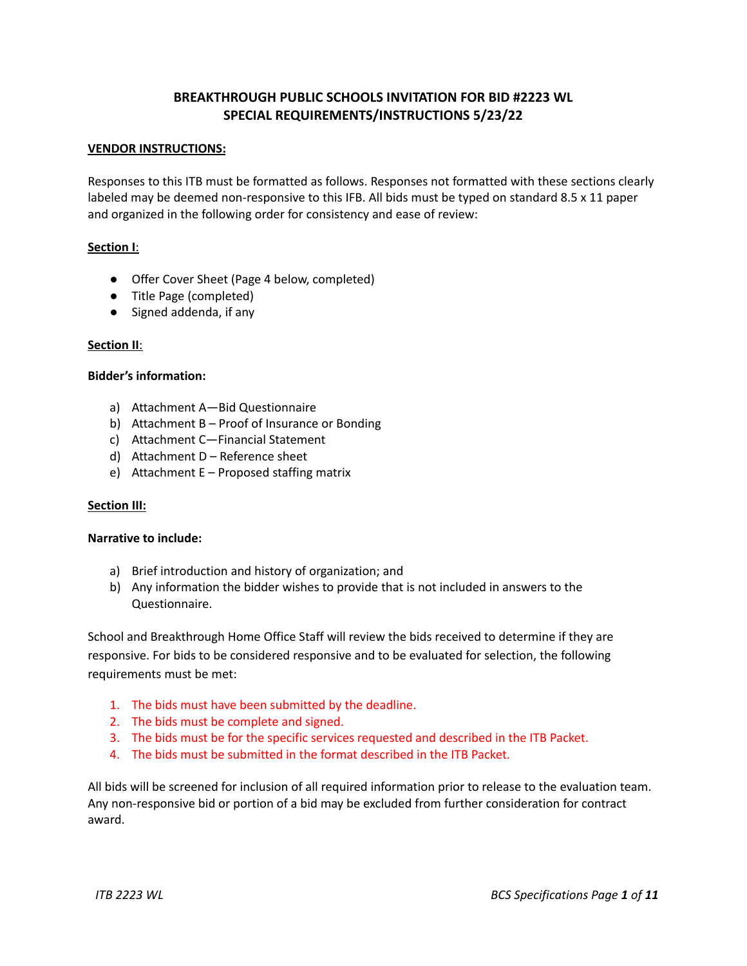# **BREAKTHROUGH PUBLIC SCHOOLS INVITATION FOR BID #2223 WL SPECIAL REQUIREMENTS/INSTRUCTIONS 5/23/22**

# **VENDOR INSTRUCTIONS:**

Responses to this ITB must be formatted as follows. Responses not formatted with these sections clearly labeled may be deemed non-responsive to this IFB. All bids must be typed on standard 8.5 x 11 paper and organized in the following order for consistency and ease of review:

# **Section I**:

- Offer Cover Sheet (Page 4 below, completed)
- Title Page (completed)
- Signed addenda, if any

# **Section II**:

# **Bidder's information:**

- a) Attachment A—Bid Questionnaire
- b) Attachment B Proof of Insurance or Bonding
- c) Attachment C—Financial Statement
- d) Attachment D Reference sheet
- e) Attachment E Proposed staffing matrix

#### **Section III:**

#### **Narrative to include:**

- a) Brief introduction and history of organization; and
- b) Any information the bidder wishes to provide that is not included in answers to the Questionnaire.

School and Breakthrough Home Office Staff will review the bids received to determine if they are responsive. For bids to be considered responsive and to be evaluated for selection, the following requirements must be met:

- 1. The bids must have been submitted by the deadline.
- 2. The bids must be complete and signed.
- 3. The bids must be for the specific services requested and described in the ITB Packet.
- 4. The bids must be submitted in the format described in the ITB Packet.

All bids will be screened for inclusion of all required information prior to release to the evaluation team. Any non-responsive bid or portion of a bid may be excluded from further consideration for contract award.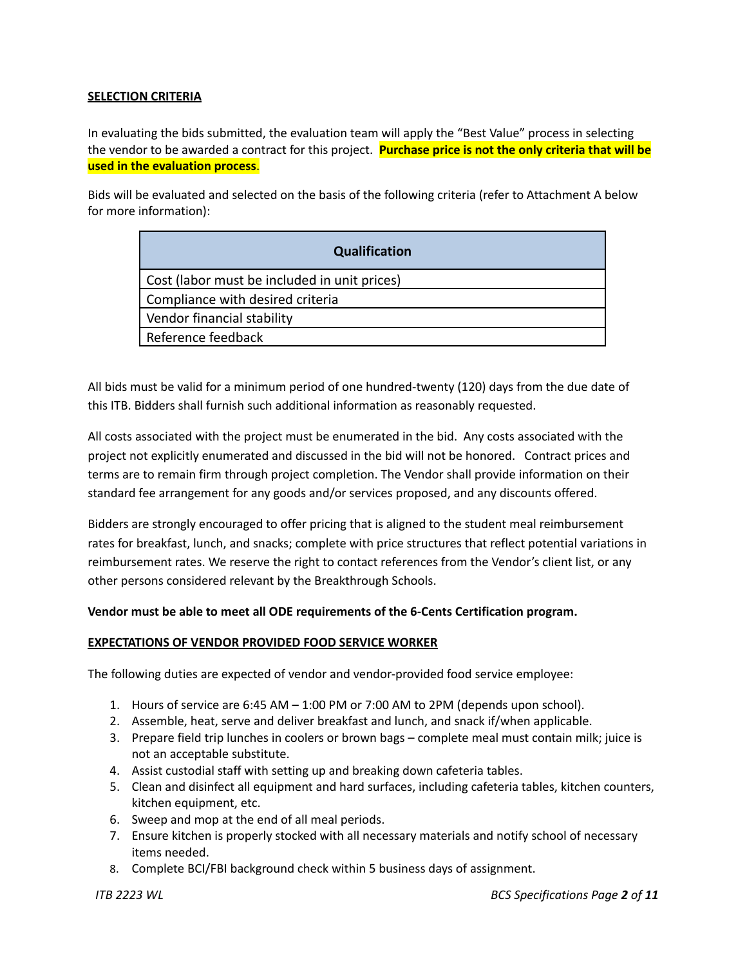# **SELECTION CRITERIA**

In evaluating the bids submitted, the evaluation team will apply the "Best Value" process in selecting the vendor to be awarded a contract for this project. **Purchase price is not the only criteria that will be used in the evaluation process**.

Bids will be evaluated and selected on the basis of the following criteria (refer to Attachment A below for more information):

| <b>Qualification</b>                         |
|----------------------------------------------|
| Cost (labor must be included in unit prices) |
| Compliance with desired criteria             |
| Vendor financial stability                   |
| Reference feedback                           |

All bids must be valid for a minimum period of one hundred-twenty (120) days from the due date of this ITB. Bidders shall furnish such additional information as reasonably requested.

All costs associated with the project must be enumerated in the bid. Any costs associated with the project not explicitly enumerated and discussed in the bid will not be honored. Contract prices and terms are to remain firm through project completion. The Vendor shall provide information on their standard fee arrangement for any goods and/or services proposed, and any discounts offered.

Bidders are strongly encouraged to offer pricing that is aligned to the student meal reimbursement rates for breakfast, lunch, and snacks; complete with price structures that reflect potential variations in reimbursement rates. We reserve the right to contact references from the Vendor's client list, or any other persons considered relevant by the Breakthrough Schools.

#### **Vendor must be able to meet all ODE requirements of the 6-Cents Certification program.**

#### **EXPECTATIONS OF VENDOR PROVIDED FOOD SERVICE WORKER**

The following duties are expected of vendor and vendor-provided food service employee:

- 1. Hours of service are 6:45 AM 1:00 PM or 7:00 AM to 2PM (depends upon school).
- 2. Assemble, heat, serve and deliver breakfast and lunch, and snack if/when applicable.
- 3. Prepare field trip lunches in coolers or brown bags complete meal must contain milk; juice is not an acceptable substitute.
- 4. Assist custodial staff with setting up and breaking down cafeteria tables.
- 5. Clean and disinfect all equipment and hard surfaces, including cafeteria tables, kitchen counters, kitchen equipment, etc.
- 6. Sweep and mop at the end of all meal periods.
- 7. Ensure kitchen is properly stocked with all necessary materials and notify school of necessary items needed.
- 8. Complete BCI/FBI background check within 5 business days of assignment.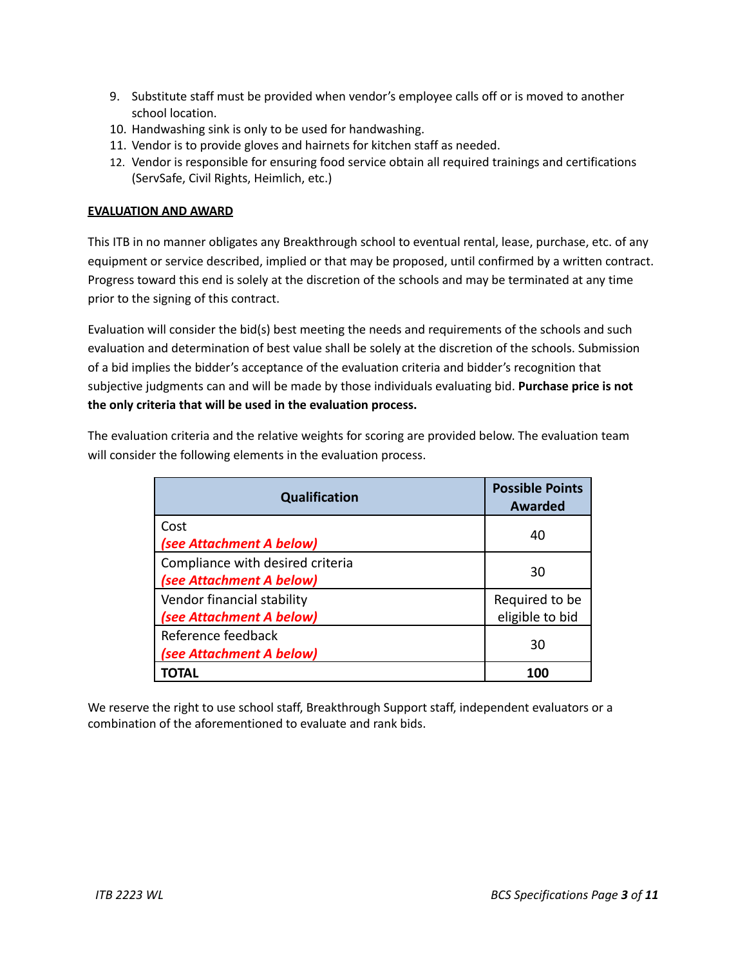- 9. Substitute staff must be provided when vendor's employee calls off or is moved to another school location.
- 10. Handwashing sink is only to be used for handwashing.
- 11. Vendor is to provide gloves and hairnets for kitchen staff as needed.
- 12. Vendor is responsible for ensuring food service obtain all required trainings and certifications (ServSafe, Civil Rights, Heimlich, etc.)

# **EVALUATION AND AWARD**

This ITB in no manner obligates any Breakthrough school to eventual rental, lease, purchase, etc. of any equipment or service described, implied or that may be proposed, until confirmed by a written contract. Progress toward this end is solely at the discretion of the schools and may be terminated at any time prior to the signing of this contract.

Evaluation will consider the bid(s) best meeting the needs and requirements of the schools and such evaluation and determination of best value shall be solely at the discretion of the schools. Submission of a bid implies the bidder's acceptance of the evaluation criteria and bidder's recognition that subjective judgments can and will be made by those individuals evaluating bid. **Purchase price is not the only criteria that will be used in the evaluation process.**

The evaluation criteria and the relative weights for scoring are provided below. The evaluation team will consider the following elements in the evaluation process.

| <b>Qualification</b>                                         | <b>Possible Points</b><br><b>Awarded</b> |
|--------------------------------------------------------------|------------------------------------------|
| Cost<br>(see Attachment A below)                             | 40                                       |
| Compliance with desired criteria<br>(see Attachment A below) | 30                                       |
| Vendor financial stability<br>(see Attachment A below)       | Required to be<br>eligible to bid        |
| Reference feedback<br>(see Attachment A below)               | 30                                       |
| TOTAL                                                        | 100                                      |

We reserve the right to use school staff, Breakthrough Support staff, independent evaluators or a combination of the aforementioned to evaluate and rank bids.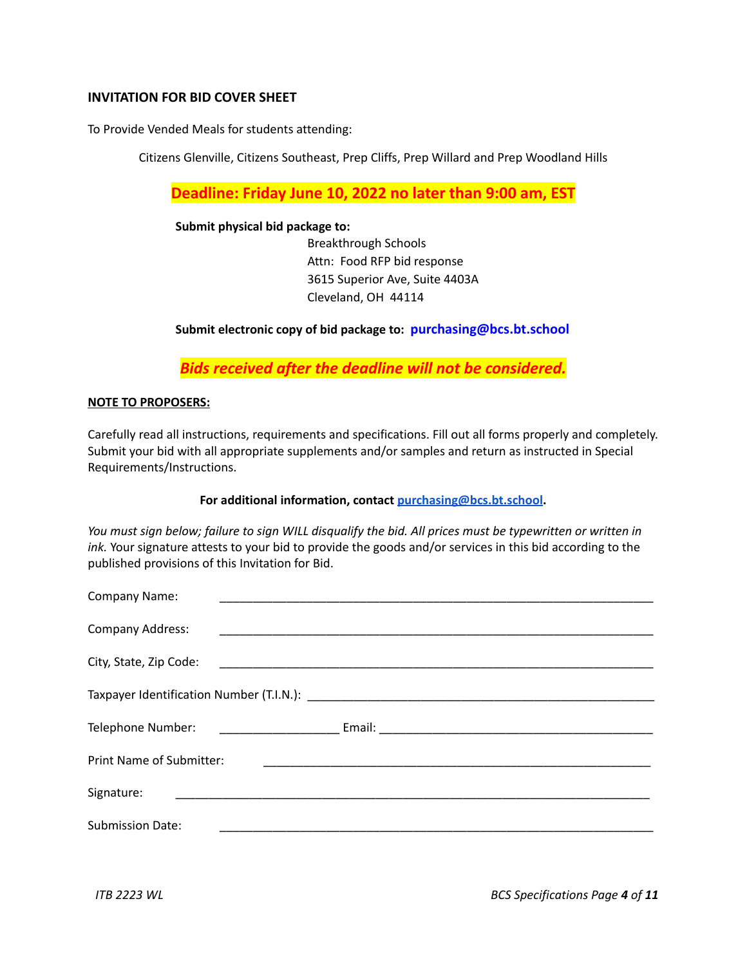# **INVITATION FOR BID COVER SHEET**

To Provide Vended Meals for students attending:

Citizens Glenville, Citizens Southeast, Prep Cliffs, Prep Willard and Prep Woodland Hills

**Deadline: Friday June 10, 2022 no later than 9:00 am, EST**

### **Submit physical bid package to:**

Breakthrough Schools Attn: Food RFP bid response 3615 Superior Ave, Suite 4403A Cleveland, OH 44114

# **Submit electronic copy of bid package to: [purchasing@bcs.bt.school](mailto:bids@bcs.bt.school)**

*Bids received after the deadline will not be considered.*

# **NOTE TO PROPOSERS:**

Carefully read all instructions, requirements and specifications. Fill out all forms properly and completely. Submit your bid with all appropriate supplements and/or samples and return as instructed in Special Requirements/Instructions.

#### **For additional information, contact [purchasing@bcs.bt.school](mailto:bids@bcs.bt.school).**

You must sign below; failure to sign WILL disgualify the bid. All prices must be typewritten or written in *ink.* Your signature attests to your bid to provide the goods and/or services in this bid according to the published provisions of this Invitation for Bid.

| Company Name:                   |  |  |  |  |  |
|---------------------------------|--|--|--|--|--|
| Company Address:                |  |  |  |  |  |
| City, State, Zip Code:          |  |  |  |  |  |
|                                 |  |  |  |  |  |
| Telephone Number:               |  |  |  |  |  |
| <b>Print Name of Submitter:</b> |  |  |  |  |  |
| Signature:                      |  |  |  |  |  |
| <b>Submission Date:</b>         |  |  |  |  |  |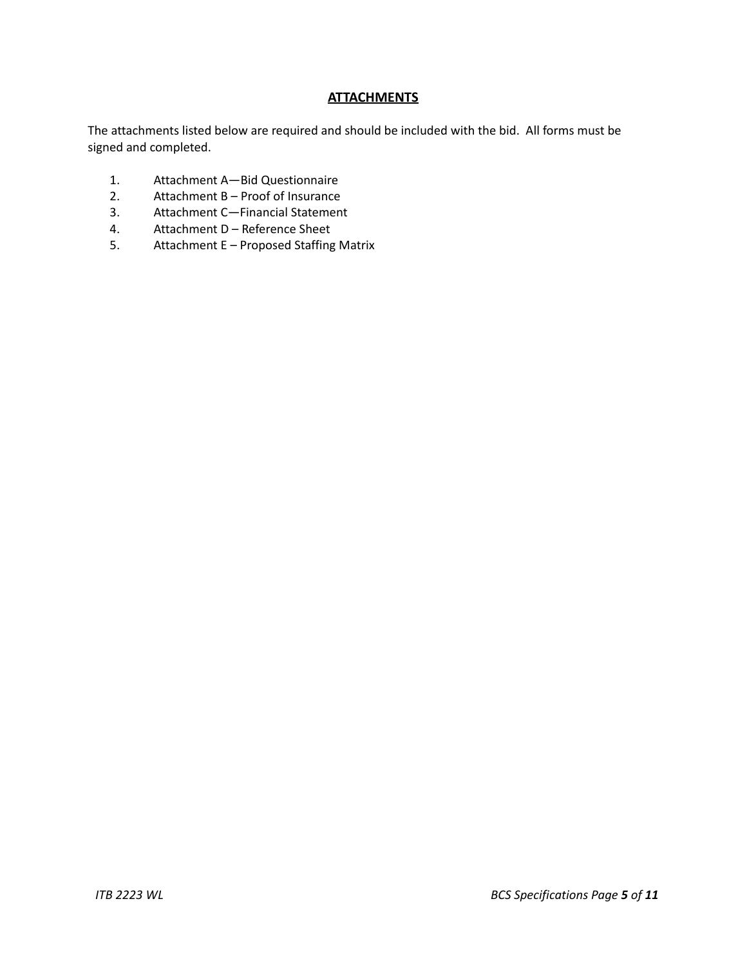# **ATTACHMENTS**

The attachments listed below are required and should be included with the bid. All forms must be signed and completed.

- 1. Attachment A—Bid Questionnaire<br>2. Attachment B Proof of Insurance
- Attachment B Proof of Insurance
- 3. Attachment C—Financial Statement
- 4. Attachment D Reference Sheet
- 5. Attachment E Proposed Staffing Matrix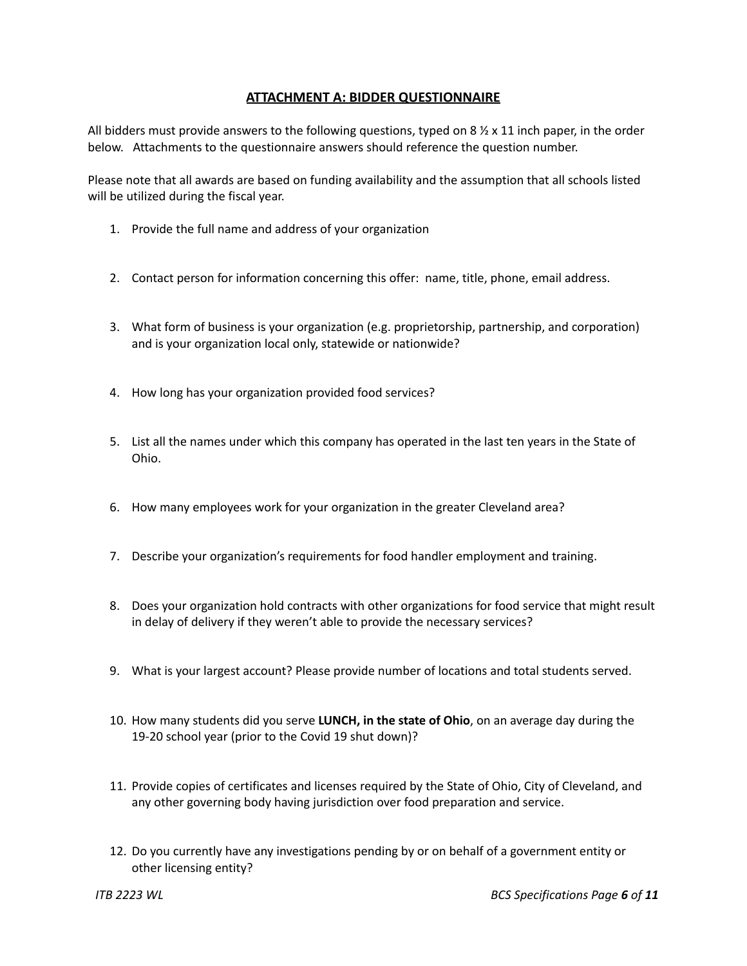# **ATTACHMENT A: BIDDER QUESTIONNAIRE**

All bidders must provide answers to the following questions, typed on 8  $\frac{1}{2}$  x 11 inch paper, in the order below. Attachments to the questionnaire answers should reference the question number.

Please note that all awards are based on funding availability and the assumption that all schools listed will be utilized during the fiscal year.

- 1. Provide the full name and address of your organization
- 2. Contact person for information concerning this offer: name, title, phone, email address.
- 3. What form of business is your organization (e.g. proprietorship, partnership, and corporation) and is your organization local only, statewide or nationwide?
- 4. How long has your organization provided food services?
- 5. List all the names under which this company has operated in the last ten years in the State of Ohio.
- 6. How many employees work for your organization in the greater Cleveland area?
- 7. Describe your organization's requirements for food handler employment and training.
- 8. Does your organization hold contracts with other organizations for food service that might result in delay of delivery if they weren't able to provide the necessary services?
- 9. What is your largest account? Please provide number of locations and total students served.
- 10. How many students did you serve **LUNCH, in the state of Ohio**, on an average day during the 19-20 school year (prior to the Covid 19 shut down)?
- 11. Provide copies of certificates and licenses required by the State of Ohio, City of Cleveland, and any other governing body having jurisdiction over food preparation and service.
- 12. Do you currently have any investigations pending by or on behalf of a government entity or other licensing entity?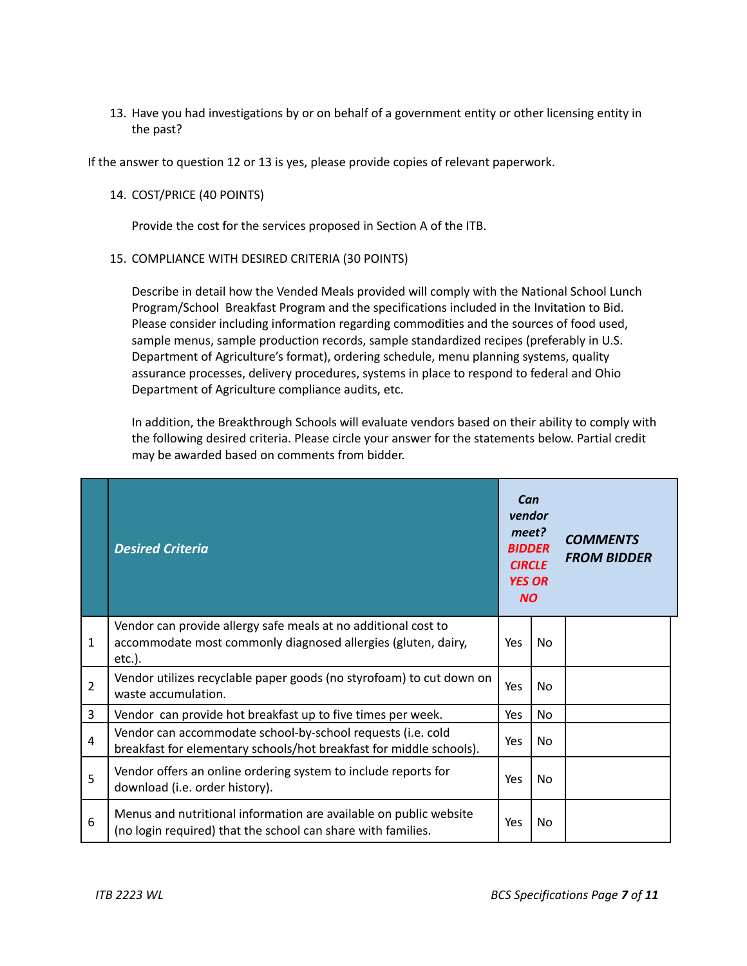13. Have you had investigations by or on behalf of a government entity or other licensing entity in the past?

If the answer to question 12 or 13 is yes, please provide copies of relevant paperwork.

# 14. COST/PRICE (40 POINTS)

Provide the cost for the services proposed in Section A of the ITB.

# 15. COMPLIANCE WITH DESIRED CRITERIA (30 POINTS)

Describe in detail how the Vended Meals provided will comply with the National School Lunch Program/School Breakfast Program and the specifications included in the Invitation to Bid. Please consider including information regarding commodities and the sources of food used, sample menus, sample production records, sample standardized recipes (preferably in U.S. Department of Agriculture's format), ordering schedule, menu planning systems, quality assurance processes, delivery procedures, systems in place to respond to federal and Ohio Department of Agriculture compliance audits, etc.

In addition, the Breakthrough Schools will evaluate vendors based on their ability to comply with the following desired criteria. Please circle your answer for the statements below. Partial credit may be awarded based on comments from bidder.

|                | <b>Desired Criteria</b>                                                                                                                      | Can<br>vendor<br>meet?<br><b>BIDDER</b><br><b>CIRCLE</b><br><b>YES OR</b><br><b>NO</b> |                | <b>COMMENTS</b><br><b>FROM BIDDER</b> |
|----------------|----------------------------------------------------------------------------------------------------------------------------------------------|----------------------------------------------------------------------------------------|----------------|---------------------------------------|
| 1              | Vendor can provide allergy safe meals at no additional cost to<br>accommodate most commonly diagnosed allergies (gluten, dairy,<br>$etc.$ ). | Yes                                                                                    | N <sub>0</sub> |                                       |
| $\overline{2}$ | Vendor utilizes recyclable paper goods (no styrofoam) to cut down on<br>waste accumulation.                                                  | Yes                                                                                    | N <sub>0</sub> |                                       |
| 3              | Vendor can provide hot breakfast up to five times per week.                                                                                  | Yes                                                                                    | No.            |                                       |
| 4              | Vendor can accommodate school-by-school requests (i.e. cold<br>breakfast for elementary schools/hot breakfast for middle schools).           | Yes.                                                                                   | N <sub>0</sub> |                                       |
| 5              | Vendor offers an online ordering system to include reports for<br>download (i.e. order history).                                             | Yes                                                                                    | N <sub>0</sub> |                                       |
| 6              | Menus and nutritional information are available on public website<br>(no login required) that the school can share with families.            | Yes                                                                                    | N <sub>0</sub> |                                       |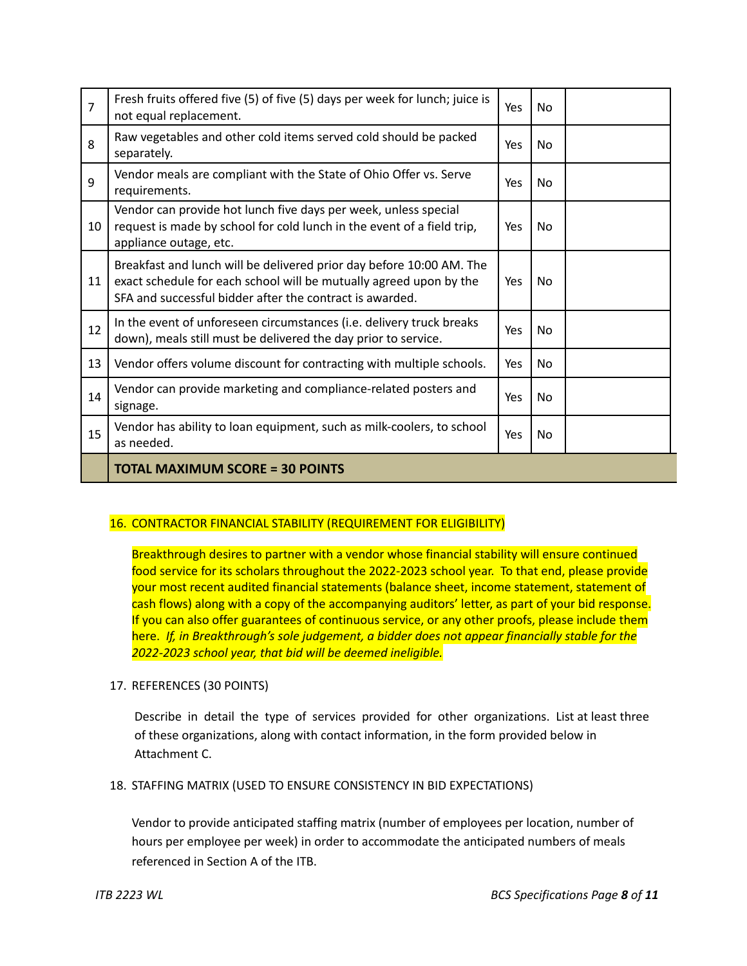| $\overline{7}$ | Fresh fruits offered five (5) of five (5) days per week for lunch; juice is<br>not equal replacement.                                                                                                  | Yes | N <sub>0</sub> |  |
|----------------|--------------------------------------------------------------------------------------------------------------------------------------------------------------------------------------------------------|-----|----------------|--|
| 8              | Raw vegetables and other cold items served cold should be packed<br>separately.                                                                                                                        | Yes | N <sub>0</sub> |  |
| 9              | Vendor meals are compliant with the State of Ohio Offer vs. Serve<br>requirements.                                                                                                                     | Yes | No.            |  |
| 10             | Vendor can provide hot lunch five days per week, unless special<br>request is made by school for cold lunch in the event of a field trip,<br>appliance outage, etc.                                    | Yes | N <sub>0</sub> |  |
| 11             | Breakfast and lunch will be delivered prior day before 10:00 AM. The<br>exact schedule for each school will be mutually agreed upon by the<br>SFA and successful bidder after the contract is awarded. | Yes | No.            |  |
| 12             | In the event of unforeseen circumstances (i.e. delivery truck breaks<br>down), meals still must be delivered the day prior to service.                                                                 | Yes | No.            |  |
| 13             | Vendor offers volume discount for contracting with multiple schools.                                                                                                                                   | Yes | N <sub>0</sub> |  |
| 14             | Vendor can provide marketing and compliance-related posters and<br>signage.                                                                                                                            | Yes | N <sub>0</sub> |  |
| 15             | Vendor has ability to loan equipment, such as milk-coolers, to school<br>as needed.                                                                                                                    | Yes | No.            |  |
|                | <b>TOTAL MAXIMUM SCORE = 30 POINTS</b>                                                                                                                                                                 |     |                |  |

# 16. CONTRACTOR FINANCIAL STABILITY (REQUIREMENT FOR ELIGIBILITY)

Breakthrough desires to partner with a vendor whose financial stability will ensure continued food service for its scholars throughout the 2022-2023 school year. To that end, please provide your most recent audited financial statements (balance sheet, income statement, statement of cash flows) along with a copy of the accompanying auditors' letter, as part of your bid response. If you can also offer guarantees of continuous service, or any other proofs, please include them here. *If, in Breakthrough's sole judgement, a bidder does not appear financially stable for the 2022-2023 school year, that bid will be deemed ineligible.*

17. REFERENCES (30 POINTS)

Describe in detail the type of services provided for other organizations. List at least three of these organizations, along with contact information, in the form provided below in Attachment C.

18. STAFFING MATRIX (USED TO ENSURE CONSISTENCY IN BID EXPECTATIONS)

Vendor to provide anticipated staffing matrix (number of employees per location, number of hours per employee per week) in order to accommodate the anticipated numbers of meals referenced in Section A of the ITB.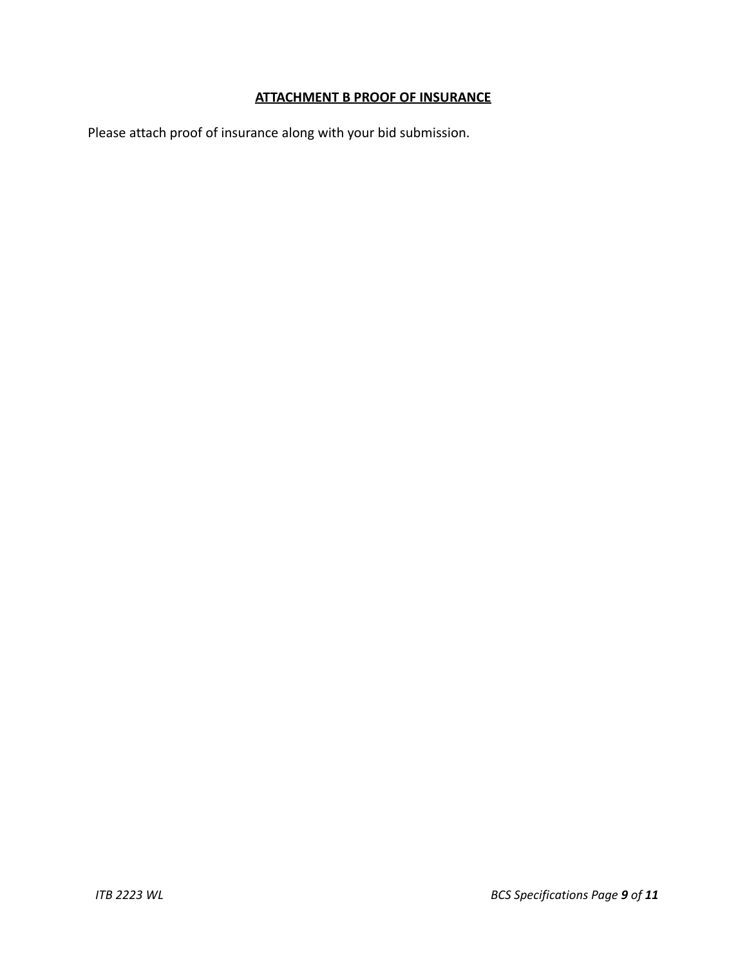# **ATTACHMENT B PROOF OF INSURANCE**

Please attach proof of insurance along with your bid submission.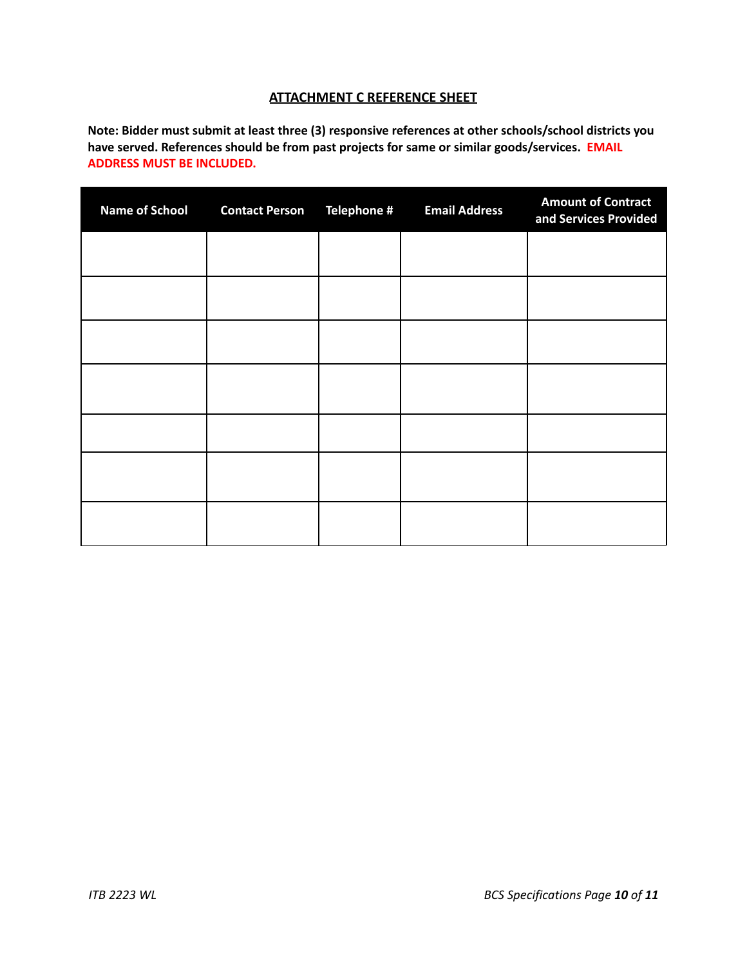# **ATTACHMENT C REFERENCE SHEET**

**Note: Bidder must submit at least three (3) responsive references at other schools/school districts you have served. References should be from past projects for same or similar goods/services. EMAIL ADDRESS MUST BE INCLUDED.**

| <b>Name of School</b> | <b>Contact Person</b> | Telephone # | <b>Email Address</b> | <b>Amount of Contract</b><br>and Services Provided |
|-----------------------|-----------------------|-------------|----------------------|----------------------------------------------------|
|                       |                       |             |                      |                                                    |
|                       |                       |             |                      |                                                    |
|                       |                       |             |                      |                                                    |
|                       |                       |             |                      |                                                    |
|                       |                       |             |                      |                                                    |
|                       |                       |             |                      |                                                    |
|                       |                       |             |                      |                                                    |